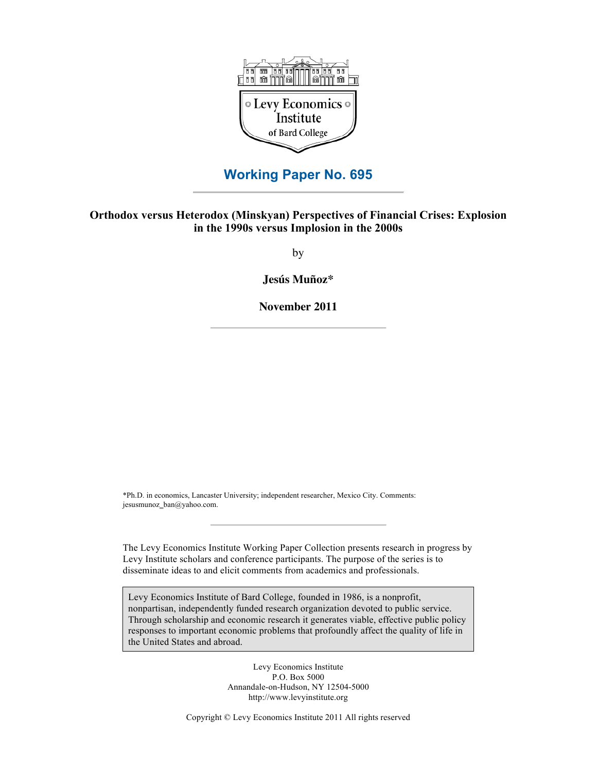

# **Working Paper No. 695**

## **Orthodox versus Heterodox (Minskyan) Perspectives of Financial Crises: Explosion in the 1990s versus Implosion in the 2000s**

by

**Jesús Muñoz\***

**November 2011**

\*Ph.D. in economics, Lancaster University; independent researcher, Mexico City. Comments: jesusmunoz\_ban@yahoo.com.

The Levy Economics Institute Working Paper Collection presents research in progress by Levy Institute scholars and conference participants. The purpose of the series is to disseminate ideas to and elicit comments from academics and professionals.

Levy Economics Institute of Bard College, founded in 1986, is a nonprofit, nonpartisan, independently funded research organization devoted to public service. Through scholarship and economic research it generates viable, effective public policy responses to important economic problems that profoundly affect the quality of life in the United States and abroad.

> Levy Economics Institute P.O. Box 5000 Annandale-on-Hudson, NY 12504-5000 http://www.levyinstitute.org

Copyright © Levy Economics Institute 2011 All rights reserved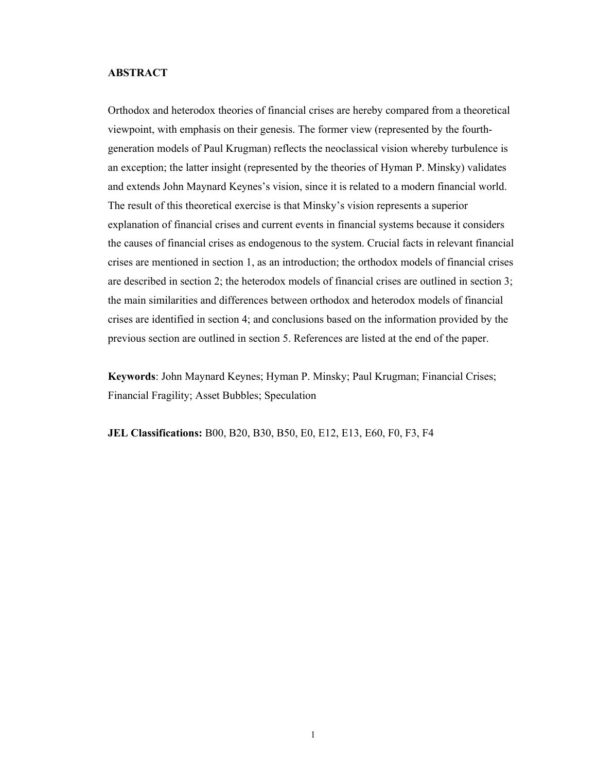## **ABSTRACT**

Orthodox and heterodox theories of financial crises are hereby compared from a theoretical viewpoint, with emphasis on their genesis. The former view (represented by the fourthgeneration models of Paul Krugman) reflects the neoclassical vision whereby turbulence is an exception; the latter insight (represented by the theories of Hyman P. Minsky) validates and extends John Maynard Keynes's vision, since it is related to a modern financial world. The result of this theoretical exercise is that Minsky's vision represents a superior explanation of financial crises and current events in financial systems because it considers the causes of financial crises as endogenous to the system. Crucial facts in relevant financial crises are mentioned in section 1, as an introduction; the orthodox models of financial crises are described in section 2; the heterodox models of financial crises are outlined in section 3; the main similarities and differences between orthodox and heterodox models of financial crises are identified in section 4; and conclusions based on the information provided by the previous section are outlined in section 5. References are listed at the end of the paper.

**Keywords**: John Maynard Keynes; Hyman P. Minsky; Paul Krugman; Financial Crises; Financial Fragility; Asset Bubbles; Speculation

**JEL Classifications:** B00, B20, B30, B50, E0, E12, E13, E60, F0, F3, F4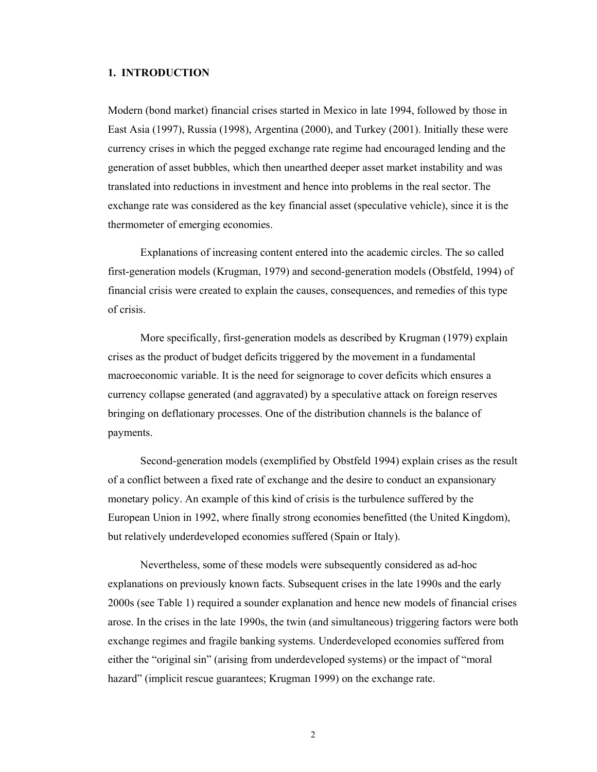## **1. INTRODUCTION**

Modern (bond market) financial crises started in Mexico in late 1994, followed by those in East Asia (1997), Russia (1998), Argentina (2000), and Turkey (2001). Initially these were currency crises in which the pegged exchange rate regime had encouraged lending and the generation of asset bubbles, which then unearthed deeper asset market instability and was translated into reductions in investment and hence into problems in the real sector. The exchange rate was considered as the key financial asset (speculative vehicle), since it is the thermometer of emerging economies.

Explanations of increasing content entered into the academic circles. The so called first-generation models (Krugman, 1979) and second-generation models (Obstfeld, 1994) of financial crisis were created to explain the causes, consequences, and remedies of this type of crisis.

More specifically, first-generation models as described by Krugman (1979) explain crises as the product of budget deficits triggered by the movement in a fundamental macroeconomic variable. It is the need for seignorage to cover deficits which ensures a currency collapse generated (and aggravated) by a speculative attack on foreign reserves bringing on deflationary processes. One of the distribution channels is the balance of payments.

Second-generation models (exemplified by Obstfeld 1994) explain crises as the result of a conflict between a fixed rate of exchange and the desire to conduct an expansionary monetary policy. An example of this kind of crisis is the turbulence suffered by the European Union in 1992, where finally strong economies benefitted (the United Kingdom), but relatively underdeveloped economies suffered (Spain or Italy).

Nevertheless, some of these models were subsequently considered as ad-hoc explanations on previously known facts. Subsequent crises in the late 1990s and the early 2000s (see Table 1) required a sounder explanation and hence new models of financial crises arose. In the crises in the late 1990s, the twin (and simultaneous) triggering factors were both exchange regimes and fragile banking systems. Underdeveloped economies suffered from either the "original sin" (arising from underdeveloped systems) or the impact of "moral hazard" (implicit rescue guarantees; Krugman 1999) on the exchange rate.

2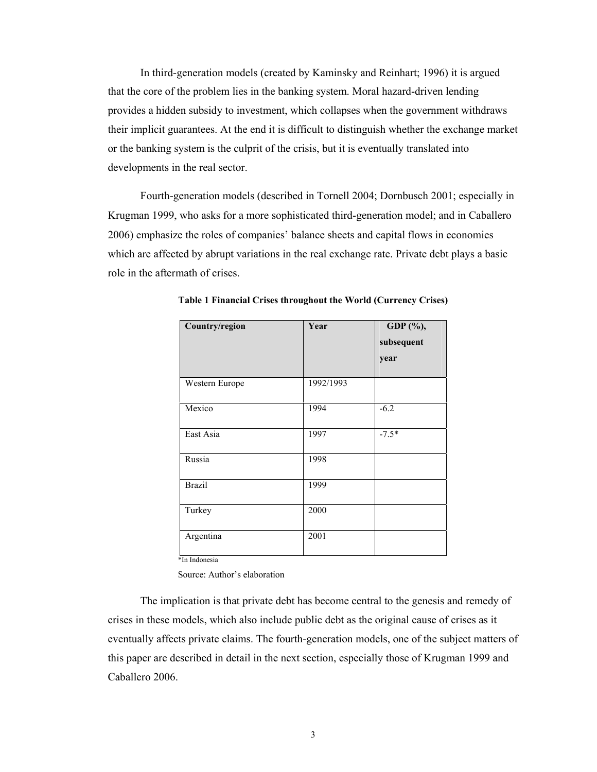In third-generation models (created by Kaminsky and Reinhart; 1996) it is argued that the core of the problem lies in the banking system. Moral hazard-driven lending provides a hidden subsidy to investment, which collapses when the government withdraws their implicit guarantees. At the end it is difficult to distinguish whether the exchange market or the banking system is the culprit of the crisis, but it is eventually translated into developments in the real sector.

Fourth-generation models (described in Tornell 2004; Dornbusch 2001; especially in Krugman 1999, who asks for a more sophisticated third-generation model; and in Caballero 2006) emphasize the roles of companies' balance sheets and capital flows in economies which are affected by abrupt variations in the real exchange rate. Private debt plays a basic role in the aftermath of crises.

| Country/region | Year      | GDP (%),<br>subsequent<br>year |
|----------------|-----------|--------------------------------|
| Western Europe | 1992/1993 |                                |
|                |           |                                |
| Mexico         | 1994      | $-6.2$                         |
| East Asia      | 1997      | $-7.5*$                        |
| Russia         | 1998      |                                |
| <b>Brazil</b>  | 1999      |                                |
| Turkey         | 2000      |                                |
| Argentina      | 2001      |                                |
| *In Indonesia  |           |                                |

**Table 1 Financial Crises throughout the World (Currency Crises)** 

Source: Author's elaboration

The implication is that private debt has become central to the genesis and remedy of crises in these models, which also include public debt as the original cause of crises as it eventually affects private claims. The fourth-generation models, one of the subject matters of this paper are described in detail in the next section, especially those of Krugman 1999 and Caballero 2006.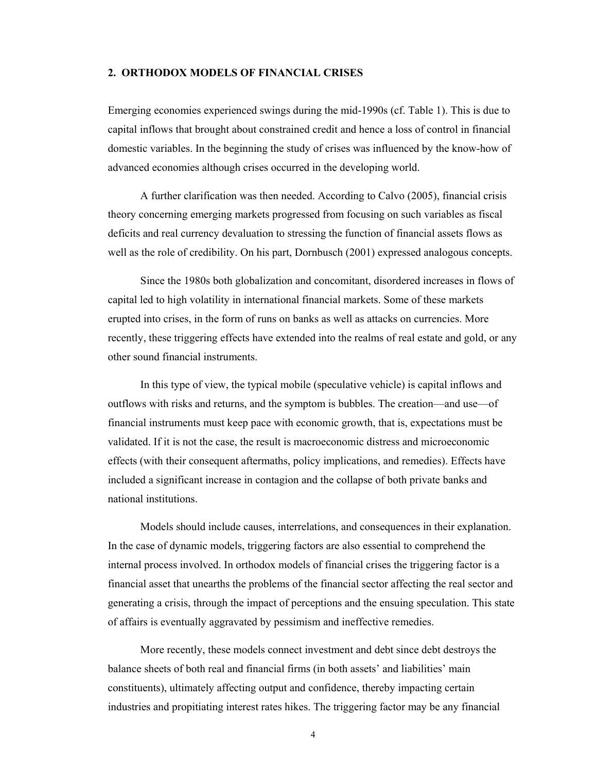### **2. ORTHODOX MODELS OF FINANCIAL CRISES**

Emerging economies experienced swings during the mid-1990s (cf. Table 1). This is due to capital inflows that brought about constrained credit and hence a loss of control in financial domestic variables. In the beginning the study of crises was influenced by the know-how of advanced economies although crises occurred in the developing world.

A further clarification was then needed. According to Calvo (2005), financial crisis theory concerning emerging markets progressed from focusing on such variables as fiscal deficits and real currency devaluation to stressing the function of financial assets flows as well as the role of credibility. On his part, Dornbusch (2001) expressed analogous concepts.

Since the 1980s both globalization and concomitant, disordered increases in flows of capital led to high volatility in international financial markets. Some of these markets erupted into crises, in the form of runs on banks as well as attacks on currencies. More recently, these triggering effects have extended into the realms of real estate and gold, or any other sound financial instruments.

In this type of view, the typical mobile (speculative vehicle) is capital inflows and outflows with risks and returns, and the symptom is bubbles. The creation—and use—of financial instruments must keep pace with economic growth, that is, expectations must be validated. If it is not the case, the result is macroeconomic distress and microeconomic effects (with their consequent aftermaths, policy implications, and remedies). Effects have included a significant increase in contagion and the collapse of both private banks and national institutions.

Models should include causes, interrelations, and consequences in their explanation. In the case of dynamic models, triggering factors are also essential to comprehend the internal process involved. In orthodox models of financial crises the triggering factor is a financial asset that unearths the problems of the financial sector affecting the real sector and generating a crisis, through the impact of perceptions and the ensuing speculation. This state of affairs is eventually aggravated by pessimism and ineffective remedies.

More recently, these models connect investment and debt since debt destroys the balance sheets of both real and financial firms (in both assets' and liabilities' main constituents), ultimately affecting output and confidence, thereby impacting certain industries and propitiating interest rates hikes. The triggering factor may be any financial

4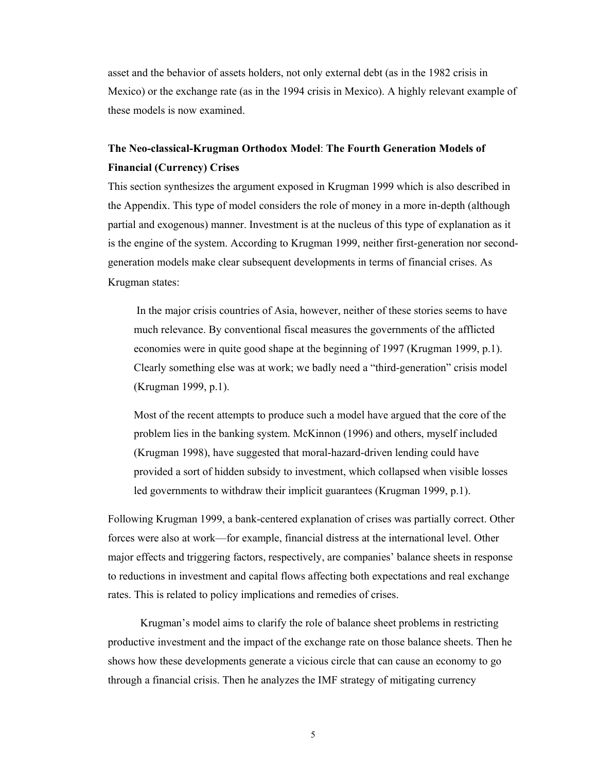asset and the behavior of assets holders, not only external debt (as in the 1982 crisis in Mexico) or the exchange rate (as in the 1994 crisis in Mexico). A highly relevant example of these models is now examined.

# **The Neo-classical-Krugman Orthodox Model**: **The Fourth Generation Models of Financial (Currency) Crises**

This section synthesizes the argument exposed in Krugman 1999 which is also described in the Appendix. This type of model considers the role of money in a more in-depth (although partial and exogenous) manner. Investment is at the nucleus of this type of explanation as it is the engine of the system. According to Krugman 1999, neither first-generation nor secondgeneration models make clear subsequent developments in terms of financial crises. As Krugman states:

 In the major crisis countries of Asia, however, neither of these stories seems to have much relevance. By conventional fiscal measures the governments of the afflicted economies were in quite good shape at the beginning of 1997 (Krugman 1999, p.1). Clearly something else was at work; we badly need a "third-generation" crisis model (Krugman 1999, p.1).

Most of the recent attempts to produce such a model have argued that the core of the problem lies in the banking system. McKinnon (1996) and others, myself included (Krugman 1998), have suggested that moral-hazard-driven lending could have provided a sort of hidden subsidy to investment, which collapsed when visible losses led governments to withdraw their implicit guarantees (Krugman 1999, p.1).

Following Krugman 1999, a bank-centered explanation of crises was partially correct. Other forces were also at work—for example, financial distress at the international level. Other major effects and triggering factors, respectively, are companies' balance sheets in response to reductions in investment and capital flows affecting both expectations and real exchange rates. This is related to policy implications and remedies of crises.

Krugman's model aims to clarify the role of balance sheet problems in restricting productive investment and the impact of the exchange rate on those balance sheets. Then he shows how these developments generate a vicious circle that can cause an economy to go through a financial crisis. Then he analyzes the IMF strategy of mitigating currency

5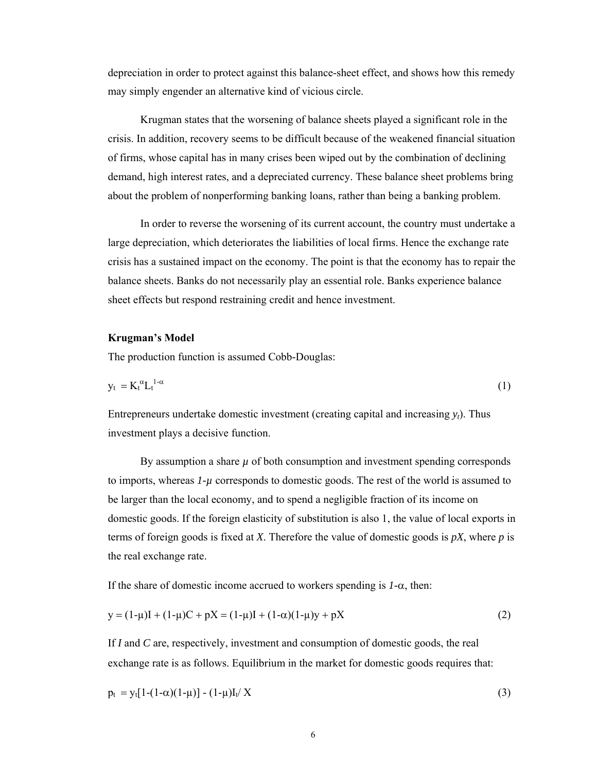depreciation in order to protect against this balance-sheet effect, and shows how this remedy may simply engender an alternative kind of vicious circle.

Krugman states that the worsening of balance sheets played a significant role in the crisis. In addition, recovery seems to be difficult because of the weakened financial situation of firms, whose capital has in many crises been wiped out by the combination of declining demand, high interest rates, and a depreciated currency. These balance sheet problems bring about the problem of nonperforming banking loans, rather than being a banking problem.

In order to reverse the worsening of its current account, the country must undertake a large depreciation, which deteriorates the liabilities of local firms. Hence the exchange rate crisis has a sustained impact on the economy. The point is that the economy has to repair the balance sheets. Banks do not necessarily play an essential role. Banks experience balance sheet effects but respond restraining credit and hence investment.

## **Krugman's Model**

The production function is assumed Cobb-Douglas:

$$
y_t = K_t^{\alpha} L_t^{1-\alpha} \tag{1}
$$

Entrepreneurs undertake domestic investment (creating capital and increasing *yt*). Thus investment plays a decisive function.

By assumption a share  $\mu$  of both consumption and investment spending corresponds to imports, whereas *1-µ* corresponds to domestic goods. The rest of the world is assumed to be larger than the local economy, and to spend a negligible fraction of its income on domestic goods. If the foreign elasticity of substitution is also 1, the value of local exports in terms of foreign goods is fixed at *X*. Therefore the value of domestic goods is *pX*, where *p* is the real exchange rate.

If the share of domestic income accrued to workers spending is *1-*α, then:

$$
y = (1 - \mu)I + (1 - \mu)C + pX = (1 - \mu)I + (1 - \alpha)(1 - \mu)y + pX
$$
\n(2)

If *I* and *C* are, respectively, investment and consumption of domestic goods, the real exchange rate is as follows. Equilibrium in the market for domestic goods requires that:

$$
p_t = y_t[1-(1-\alpha)(1-\mu)] - (1-\mu)I_t/X
$$
\n(3)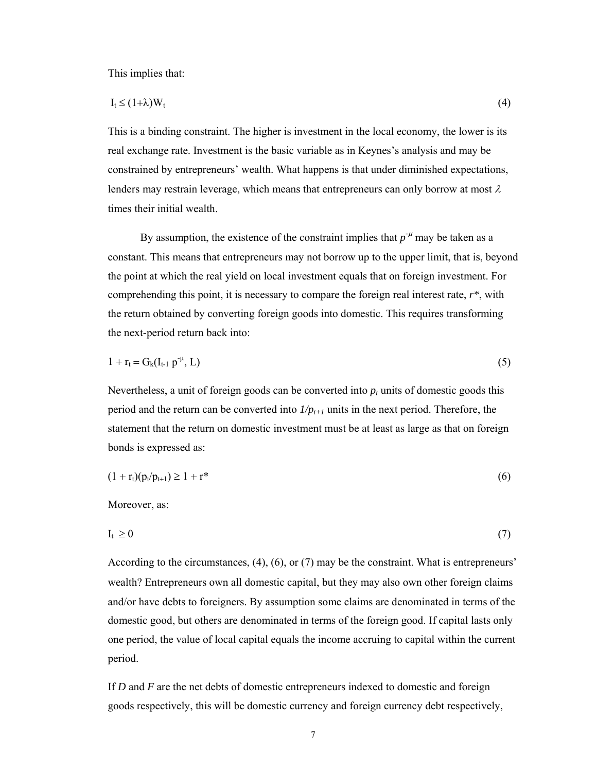This implies that:

$$
I_t \le (1+\lambda)W_t \tag{4}
$$

This is a binding constraint. The higher is investment in the local economy, the lower is its real exchange rate. Investment is the basic variable as in Keynes's analysis and may be constrained by entrepreneurs' wealth. What happens is that under diminished expectations, lenders may restrain leverage, which means that entrepreneurs can only borrow at most  $\lambda$ times their initial wealth.

By assumption, the existence of the constraint implies that  $p^{-\mu}$  may be taken as a constant. This means that entrepreneurs may not borrow up to the upper limit, that is, beyond the point at which the real yield on local investment equals that on foreign investment. For comprehending this point, it is necessary to compare the foreign real interest rate, *r\**, with the return obtained by converting foreign goods into domestic. This requires transforming the next-period return back into:

$$
1 + r_t = G_k(I_{t-1} p^{-\mu}, L) \tag{5}
$$

Nevertheless, a unit of foreign goods can be converted into  $p_t$  units of domestic goods this period and the return can be converted into  $1/p_{t+1}$  units in the next period. Therefore, the statement that the return on domestic investment must be at least as large as that on foreign bonds is expressed as:

$$
(1 + r_t)(p_t/p_{t+1}) \ge 1 + r^* \tag{6}
$$

Moreover, as:

$$
I_t \geq 0 \tag{7}
$$

According to the circumstances, (4), (6), or (7) may be the constraint. What is entrepreneurs' wealth? Entrepreneurs own all domestic capital, but they may also own other foreign claims and/or have debts to foreigners. By assumption some claims are denominated in terms of the domestic good, but others are denominated in terms of the foreign good. If capital lasts only one period, the value of local capital equals the income accruing to capital within the current period.

If *D* and *F* are the net debts of domestic entrepreneurs indexed to domestic and foreign goods respectively, this will be domestic currency and foreign currency debt respectively,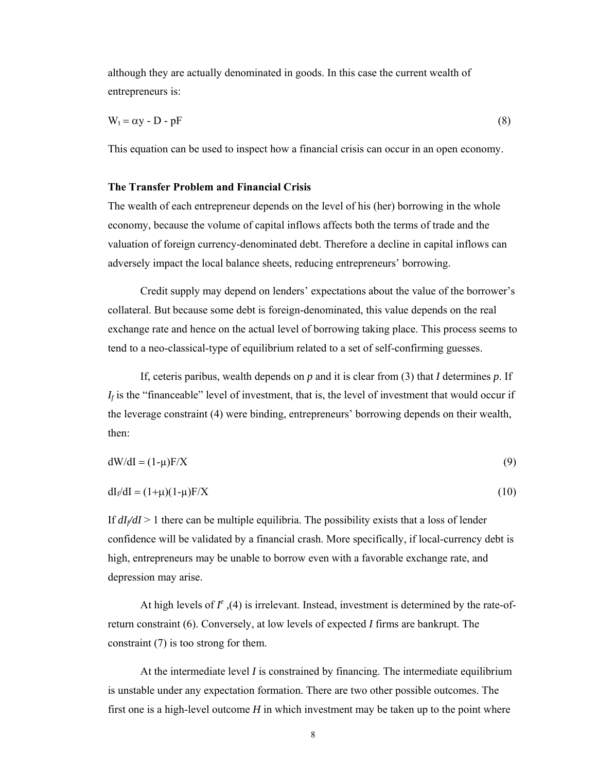although they are actually denominated in goods. In this case the current wealth of entrepreneurs is:

$$
W_t = \alpha y - D - pF \tag{8}
$$

This equation can be used to inspect how a financial crisis can occur in an open economy.

## **The Transfer Problem and Financial Crisis**

The wealth of each entrepreneur depends on the level of his (her) borrowing in the whole economy, because the volume of capital inflows affects both the terms of trade and the valuation of foreign currency-denominated debt. Therefore a decline in capital inflows can adversely impact the local balance sheets, reducing entrepreneurs' borrowing.

Credit supply may depend on lenders' expectations about the value of the borrower's collateral. But because some debt is foreign-denominated, this value depends on the real exchange rate and hence on the actual level of borrowing taking place. This process seems to tend to a neo-classical-type of equilibrium related to a set of self-confirming guesses.

If, ceteris paribus, wealth depends on *p* and it is clear from (3) that *I* determines *p*. If  $I_f$  is the "financeable" level of investment, that is, the level of investment that would occur if the leverage constraint (4) were binding, entrepreneurs' borrowing depends on their wealth, then:

$$
dW/dI = (1 - \mu)F/X
$$
\n(9)

$$
dI_f/dI = (1+\mu)(1-\mu)F/X
$$
\n(10)

If  $dI/dI > 1$  there can be multiple equilibria. The possibility exists that a loss of lender confidence will be validated by a financial crash. More specifically, if local-currency debt is high, entrepreneurs may be unable to borrow even with a favorable exchange rate, and depression may arise.

At high levels of  $I^e$ , (4) is irrelevant. Instead, investment is determined by the rate-ofreturn constraint (6). Conversely, at low levels of expected *I* firms are bankrupt. The constraint (7) is too strong for them.

At the intermediate level *I* is constrained by financing. The intermediate equilibrium is unstable under any expectation formation. There are two other possible outcomes. The first one is a high-level outcome *H* in which investment may be taken up to the point where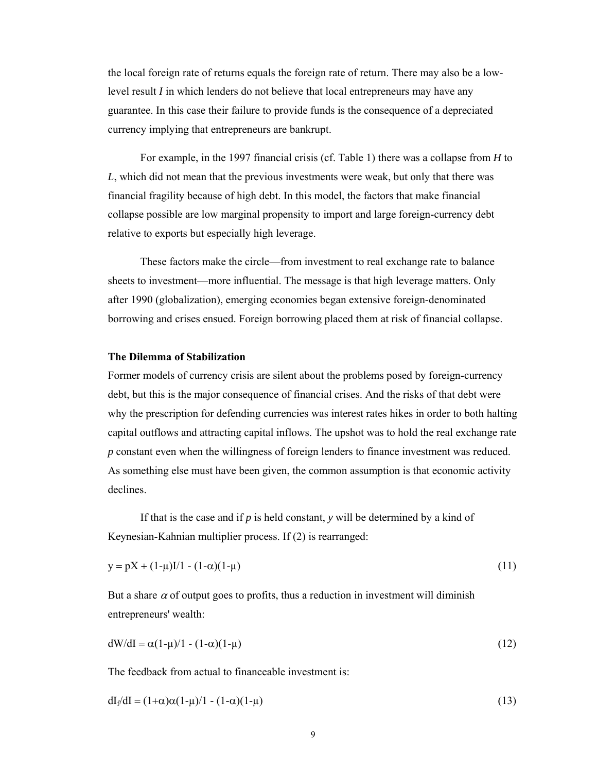the local foreign rate of returns equals the foreign rate of return. There may also be a lowlevel result *I* in which lenders do not believe that local entrepreneurs may have any guarantee. In this case their failure to provide funds is the consequence of a depreciated currency implying that entrepreneurs are bankrupt.

For example, in the 1997 financial crisis (cf. Table 1) there was a collapse from *H* to *L*, which did not mean that the previous investments were weak, but only that there was financial fragility because of high debt. In this model, the factors that make financial collapse possible are low marginal propensity to import and large foreign-currency debt relative to exports but especially high leverage.

These factors make the circle—from investment to real exchange rate to balance sheets to investment—more influential. The message is that high leverage matters. Only after 1990 (globalization), emerging economies began extensive foreign-denominated borrowing and crises ensued. Foreign borrowing placed them at risk of financial collapse.

## **The Dilemma of Stabilization**

Former models of currency crisis are silent about the problems posed by foreign-currency debt, but this is the major consequence of financial crises. And the risks of that debt were why the prescription for defending currencies was interest rates hikes in order to both halting capital outflows and attracting capital inflows. The upshot was to hold the real exchange rate *p* constant even when the willingness of foreign lenders to finance investment was reduced. As something else must have been given, the common assumption is that economic activity declines.

If that is the case and if *p* is held constant, *y* will be determined by a kind of Keynesian-Kahnian multiplier process. If (2) is rearranged:

$$
y = pX + (1 - \mu)I/1 - (1 - \alpha)(1 - \mu)
$$
\n(11)

But a share  $\alpha$  of output goes to profits, thus a reduction in investment will diminish entrepreneurs' wealth:

$$
dW/dI = \alpha(1-\mu)/1 - (1-\alpha)(1-\mu) \tag{12}
$$

The feedback from actual to financeable investment is:

$$
dI_f/dI = (1+\alpha)\alpha(1-\mu)/1 - (1-\alpha)(1-\mu)
$$
\n(13)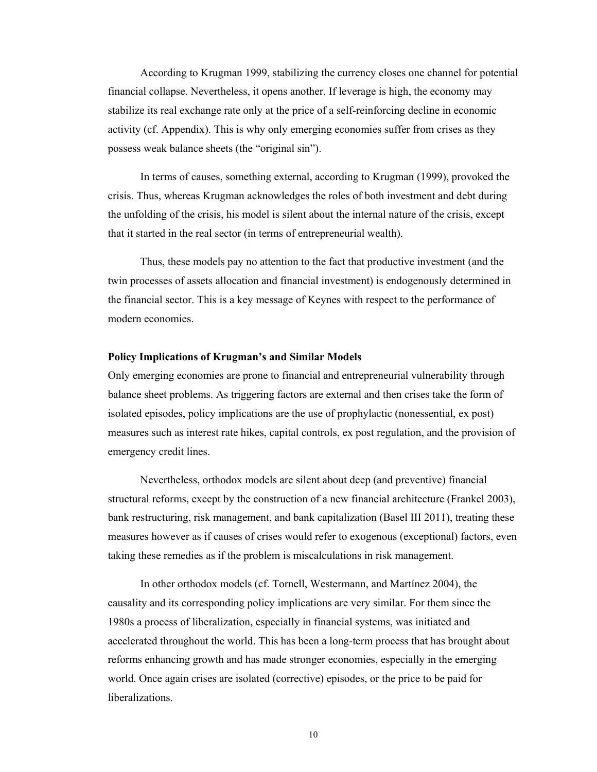According to Krugman 1999, stabilizing the currency closes one channel for potential financial collapse. Nevertheless, it opens another. If leverage is high, the economy may stabilize its real exchange rate only at the price of a self-reinforcing decline in economic activity (cf. Appendix). This is why only emerging economies suffer from crises as they possess weak balance sheets (the "original sin").

In terms of causes, something external, according to Krugman (1999), provoked the crisis. Thus, whereas Krugman acknowledges the roles of both investment and debt during the unfolding of the crisis, his model is silent about the internal nature of the crisis, except that it started in the real sector (in terms of entrepreneurial wealth).

Thus, these models pay no attention to the fact that productive investment (and the twin processes of assets allocation and financial investment) is endogenously determined in the financial sector. This is a key message of Keynes with respect to the performance of modern economies.

### **Policy Implications of Krugman's and Similar Models**

Only emerging economies are prone to financial and entrepreneurial vulnerability through balance sheet problems. As triggering factors are external and then crises take the form of isolated episodes, policy implications are the use of prophylactic (nonessential, ex post) measures such as interest rate hikes, capital controls, ex post regulation, and the provision of emergency credit lines.

Nevertheless, orthodox models are silent about deep (and preventive) financial structural reforms, except by the construction of a new financial architecture (Frankel 2003), bank restructuring, risk management, and bank capitalization (Basel III 2011), treating these measures however as if causes of crises would refer to exogenous (exceptional) factors, even taking these remedies as if the problem is miscalculations in risk management.

In other orthodox models (cf. Tornell, Westermann, and Martínez 2004), the causality and its corresponding policy implications are very similar. For them since the 1980s a process of liberalization, especially in financial systems, was initiated and accelerated throughout the world. This has been a long-term process that has brought about reforms enhancing growth and has made stronger economies, especially in the emerging world. Once again crises are isolated (corrective) episodes, or the price to be paid for liberalizations.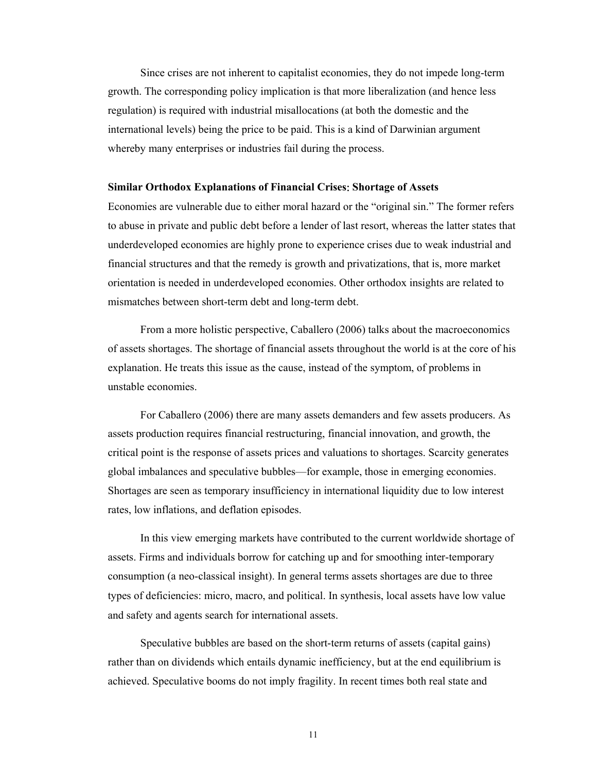Since crises are not inherent to capitalist economies, they do not impede long-term growth. The corresponding policy implication is that more liberalization (and hence less regulation) is required with industrial misallocations (at both the domestic and the international levels) being the price to be paid. This is a kind of Darwinian argument whereby many enterprises or industries fail during the process.

#### **Similar Orthodox Explanations of Financial Crises**: **Shortage of Assets**

Economies are vulnerable due to either moral hazard or the "original sin." The former refers to abuse in private and public debt before a lender of last resort, whereas the latter states that underdeveloped economies are highly prone to experience crises due to weak industrial and financial structures and that the remedy is growth and privatizations, that is, more market orientation is needed in underdeveloped economies. Other orthodox insights are related to mismatches between short-term debt and long-term debt.

From a more holistic perspective, Caballero (2006) talks about the macroeconomics of assets shortages. The shortage of financial assets throughout the world is at the core of his explanation. He treats this issue as the cause, instead of the symptom, of problems in unstable economies.

For Caballero (2006) there are many assets demanders and few assets producers. As assets production requires financial restructuring, financial innovation, and growth, the critical point is the response of assets prices and valuations to shortages. Scarcity generates global imbalances and speculative bubbles—for example, those in emerging economies. Shortages are seen as temporary insufficiency in international liquidity due to low interest rates, low inflations, and deflation episodes.

In this view emerging markets have contributed to the current worldwide shortage of assets. Firms and individuals borrow for catching up and for smoothing inter-temporary consumption (a neo-classical insight). In general terms assets shortages are due to three types of deficiencies: micro, macro, and political. In synthesis, local assets have low value and safety and agents search for international assets.

Speculative bubbles are based on the short-term returns of assets (capital gains) rather than on dividends which entails dynamic inefficiency, but at the end equilibrium is achieved. Speculative booms do not imply fragility. In recent times both real state and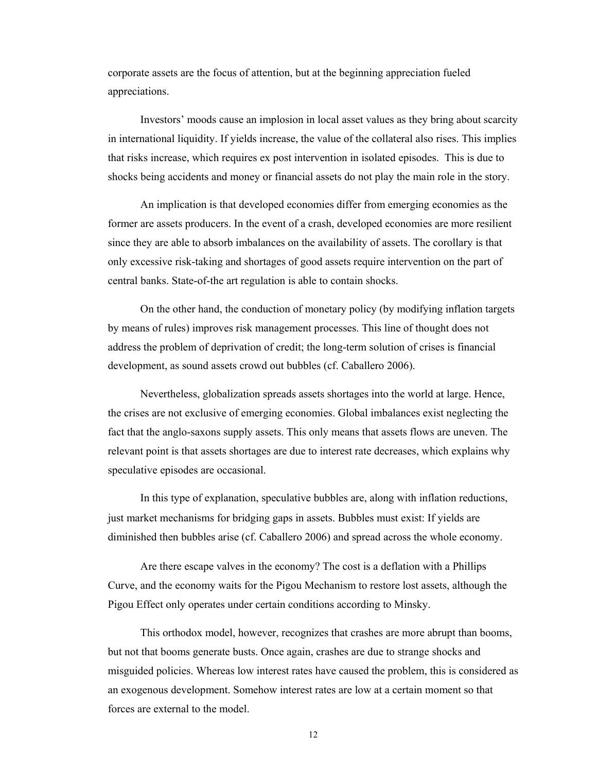corporate assets are the focus of attention, but at the beginning appreciation fueled appreciations.

Investors' moods cause an implosion in local asset values as they bring about scarcity in international liquidity. If yields increase, the value of the collateral also rises. This implies that risks increase, which requires ex post intervention in isolated episodes. This is due to shocks being accidents and money or financial assets do not play the main role in the story.

An implication is that developed economies differ from emerging economies as the former are assets producers. In the event of a crash, developed economies are more resilient since they are able to absorb imbalances on the availability of assets. The corollary is that only excessive risk-taking and shortages of good assets require intervention on the part of central banks. State-of-the art regulation is able to contain shocks.

On the other hand, the conduction of monetary policy (by modifying inflation targets by means of rules) improves risk management processes. This line of thought does not address the problem of deprivation of credit; the long-term solution of crises is financial development, as sound assets crowd out bubbles (cf. Caballero 2006).

Nevertheless, globalization spreads assets shortages into the world at large. Hence, the crises are not exclusive of emerging economies. Global imbalances exist neglecting the fact that the anglo-saxons supply assets. This only means that assets flows are uneven. The relevant point is that assets shortages are due to interest rate decreases, which explains why speculative episodes are occasional.

In this type of explanation, speculative bubbles are, along with inflation reductions, just market mechanisms for bridging gaps in assets. Bubbles must exist: If yields are diminished then bubbles arise (cf. Caballero 2006) and spread across the whole economy.

Are there escape valves in the economy? The cost is a deflation with a Phillips Curve, and the economy waits for the Pigou Mechanism to restore lost assets, although the Pigou Effect only operates under certain conditions according to Minsky.

This orthodox model, however, recognizes that crashes are more abrupt than booms, but not that booms generate busts. Once again, crashes are due to strange shocks and misguided policies. Whereas low interest rates have caused the problem, this is considered as an exogenous development. Somehow interest rates are low at a certain moment so that forces are external to the model.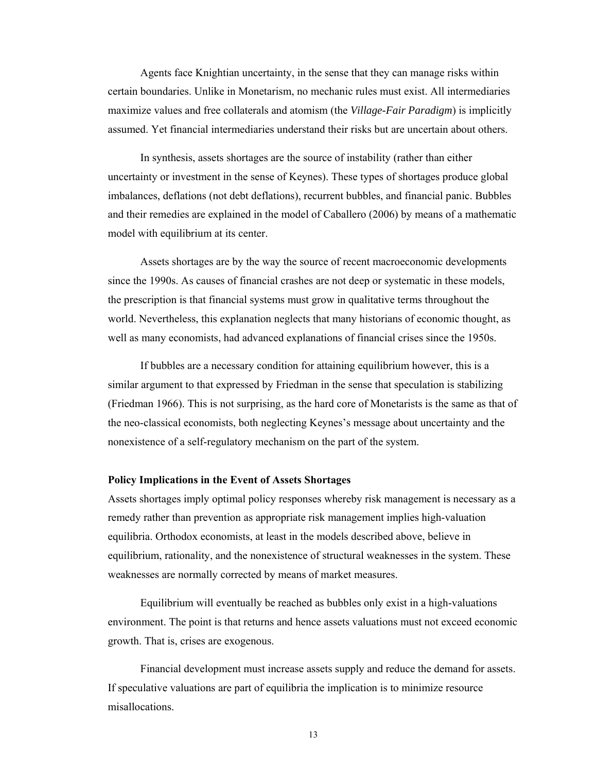Agents face Knightian uncertainty, in the sense that they can manage risks within certain boundaries. Unlike in Monetarism, no mechanic rules must exist. All intermediaries maximize values and free collaterals and atomism (the *Village-Fair Paradigm*) is implicitly assumed. Yet financial intermediaries understand their risks but are uncertain about others.

In synthesis, assets shortages are the source of instability (rather than either uncertainty or investment in the sense of Keynes). These types of shortages produce global imbalances, deflations (not debt deflations), recurrent bubbles, and financial panic. Bubbles and their remedies are explained in the model of Caballero (2006) by means of a mathematic model with equilibrium at its center.

Assets shortages are by the way the source of recent macroeconomic developments since the 1990s. As causes of financial crashes are not deep or systematic in these models, the prescription is that financial systems must grow in qualitative terms throughout the world. Nevertheless, this explanation neglects that many historians of economic thought, as well as many economists, had advanced explanations of financial crises since the 1950s.

If bubbles are a necessary condition for attaining equilibrium however, this is a similar argument to that expressed by Friedman in the sense that speculation is stabilizing (Friedman 1966). This is not surprising, as the hard core of Monetarists is the same as that of the neo-classical economists, both neglecting Keynes's message about uncertainty and the nonexistence of a self-regulatory mechanism on the part of the system.

## **Policy Implications in the Event of Assets Shortages**

Assets shortages imply optimal policy responses whereby risk management is necessary as a remedy rather than prevention as appropriate risk management implies high-valuation equilibria. Orthodox economists, at least in the models described above, believe in equilibrium, rationality, and the nonexistence of structural weaknesses in the system. These weaknesses are normally corrected by means of market measures.

Equilibrium will eventually be reached as bubbles only exist in a high-valuations environment. The point is that returns and hence assets valuations must not exceed economic growth. That is, crises are exogenous.

Financial development must increase assets supply and reduce the demand for assets. If speculative valuations are part of equilibria the implication is to minimize resource misallocations.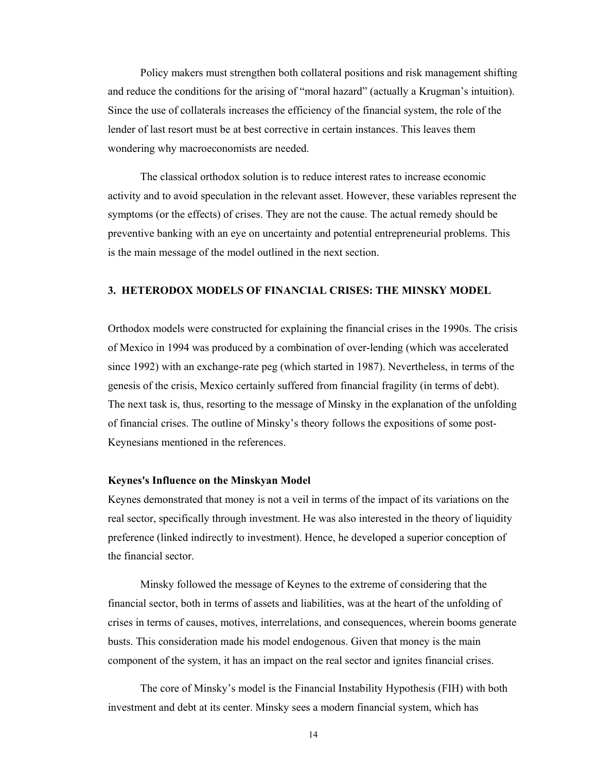Policy makers must strengthen both collateral positions and risk management shifting and reduce the conditions for the arising of "moral hazard" (actually a Krugman's intuition). Since the use of collaterals increases the efficiency of the financial system, the role of the lender of last resort must be at best corrective in certain instances. This leaves them wondering why macroeconomists are needed.

The classical orthodox solution is to reduce interest rates to increase economic activity and to avoid speculation in the relevant asset. However, these variables represent the symptoms (or the effects) of crises. They are not the cause. The actual remedy should be preventive banking with an eye on uncertainty and potential entrepreneurial problems. This is the main message of the model outlined in the next section.

## **3. HETERODOX MODELS OF FINANCIAL CRISES: THE MINSKY MODEL**

Orthodox models were constructed for explaining the financial crises in the 1990s. The crisis of Mexico in 1994 was produced by a combination of over-lending (which was accelerated since 1992) with an exchange-rate peg (which started in 1987). Nevertheless, in terms of the genesis of the crisis, Mexico certainly suffered from financial fragility (in terms of debt). The next task is, thus, resorting to the message of Minsky in the explanation of the unfolding of financial crises. The outline of Minsky's theory follows the expositions of some post-Keynesians mentioned in the references.

## **Keynes's Influence on the Minskyan Model**

Keynes demonstrated that money is not a veil in terms of the impact of its variations on the real sector, specifically through investment. He was also interested in the theory of liquidity preference (linked indirectly to investment). Hence, he developed a superior conception of the financial sector.

Minsky followed the message of Keynes to the extreme of considering that the financial sector, both in terms of assets and liabilities, was at the heart of the unfolding of crises in terms of causes, motives, interrelations, and consequences, wherein booms generate busts. This consideration made his model endogenous. Given that money is the main component of the system, it has an impact on the real sector and ignites financial crises.

The core of Minsky's model is the Financial Instability Hypothesis (FIH) with both investment and debt at its center. Minsky sees a modern financial system, which has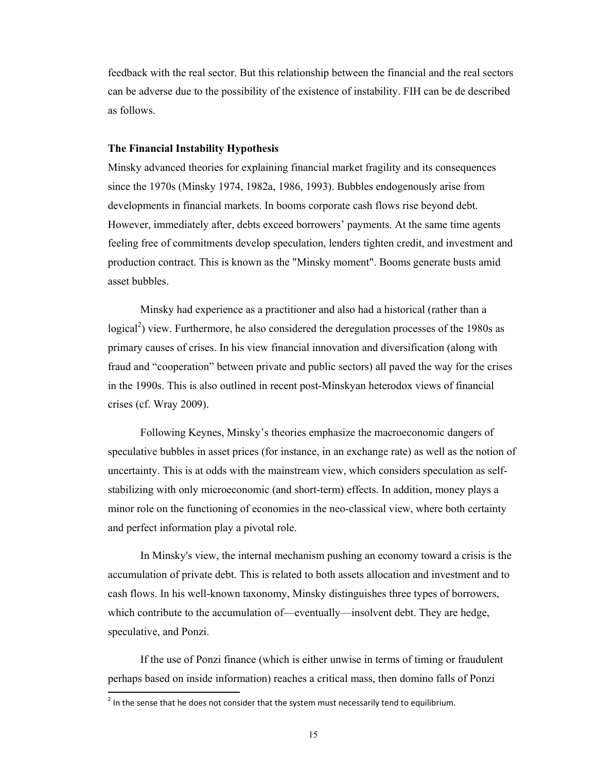feedback with the real sector. But this relationship between the financial and the real sectors can be adverse due to the possibility of the existence of instability. FIH can be de described as follows.

#### **The Financial Instability Hypothesis**

Minsky advanced theories for explaining financial market fragility and its consequences since the 1970s (Minsky 1974, 1982a, 1986, 1993). Bubbles endogenously arise from developments in financial markets. In booms corporate cash flows rise beyond debt. However, immediately after, debts exceed borrowers' payments. At the same time agents feeling free of commitments develop speculation, lenders tighten credit, and investment and production contract. This is known as the "Minsky moment". Booms generate busts amid asset bubbles.

Minsky had experience as a practitioner and also had a historical (rather than a logical<sup>2</sup>) view. Furthermore, he also considered the deregulation processes of the 1980s as primary causes of crises. In his view financial innovation and diversification (along with fraud and "cooperation" between private and public sectors) all paved the way for the crises in the 1990s. This is also outlined in recent post-Minskyan heterodox views of financial crises (cf. Wray 2009).

Following Keynes, Minsky's theories emphasize the macroeconomic dangers of speculative bubbles in asset prices (for instance, in an exchange rate) as well as the notion of uncertainty. This is at odds with the mainstream view, which considers speculation as selfstabilizing with only microeconomic (and short-term) effects. In addition, money plays a minor role on the functioning of economies in the neo-classical view, where both certainty and perfect information play a pivotal role.

In Minsky's view, the internal mechanism pushing an economy toward a crisis is the accumulation of private debt. This is related to both assets allocation and investment and to cash flows. In his well-known taxonomy, Minsky distinguishes three types of borrowers, which contribute to the accumulation of—eventually—insolvent debt. They are hedge, speculative, and Ponzi.

If the use of Ponzi finance (which is either unwise in terms of timing or fraudulent perhaps based on inside information) reaches a critical mass, then domino falls of Ponzi

 $2$  In the sense that he does not consider that the system must necessarily tend to equilibrium.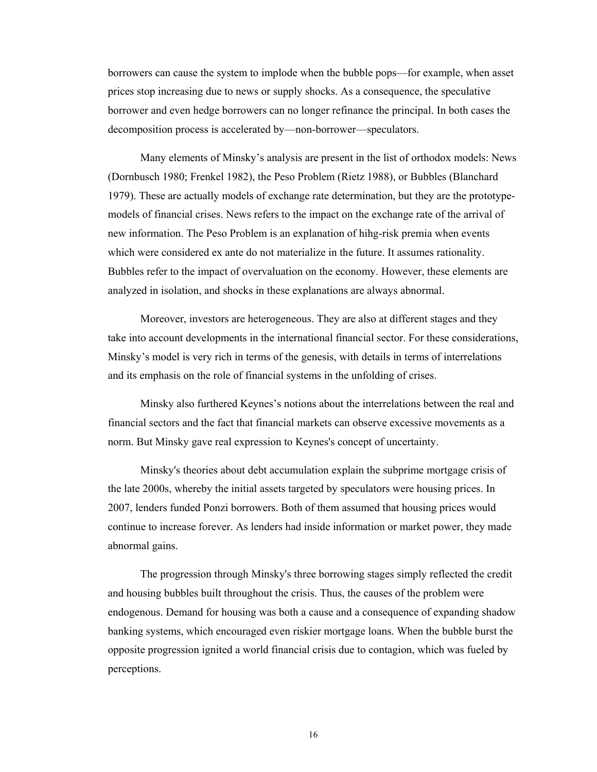borrowers can cause the system to implode when the bubble pops—for example, when asset prices stop increasing due to news or supply shocks. As a consequence, the speculative borrower and even hedge borrowers can no longer refinance the principal. In both cases the decomposition process is accelerated by—non-borrower—speculators.

Many elements of Minsky's analysis are present in the list of orthodox models: News (Dornbusch 1980; Frenkel 1982), the Peso Problem (Rietz 1988), or Bubbles (Blanchard 1979). These are actually models of exchange rate determination, but they are the prototypemodels of financial crises. News refers to the impact on the exchange rate of the arrival of new information. The Peso Problem is an explanation of hihg-risk premia when events which were considered ex ante do not materialize in the future. It assumes rationality. Bubbles refer to the impact of overvaluation on the economy. However, these elements are analyzed in isolation, and shocks in these explanations are always abnormal.

Moreover, investors are heterogeneous. They are also at different stages and they take into account developments in the international financial sector. For these considerations, Minsky's model is very rich in terms of the genesis, with details in terms of interrelations and its emphasis on the role of financial systems in the unfolding of crises.

Minsky also furthered Keynes's notions about the interrelations between the real and financial sectors and the fact that financial markets can observe excessive movements as a norm. But Minsky gave real expression to Keynes's concept of uncertainty.

Minsky's theories about debt accumulation explain the subprime mortgage crisis of the late 2000s, whereby the initial assets targeted by speculators were housing prices. In 2007, lenders funded Ponzi borrowers. Both of them assumed that housing prices would continue to increase forever. As lenders had inside information or market power, they made abnormal gains.

The progression through Minsky's three borrowing stages simply reflected the credit and housing bubbles built throughout the crisis. Thus, the causes of the problem were endogenous. Demand for housing was both a cause and a consequence of expanding shadow banking systems, which encouraged even riskier mortgage loans. When the bubble burst the opposite progression ignited a world financial crisis due to contagion, which was fueled by perceptions.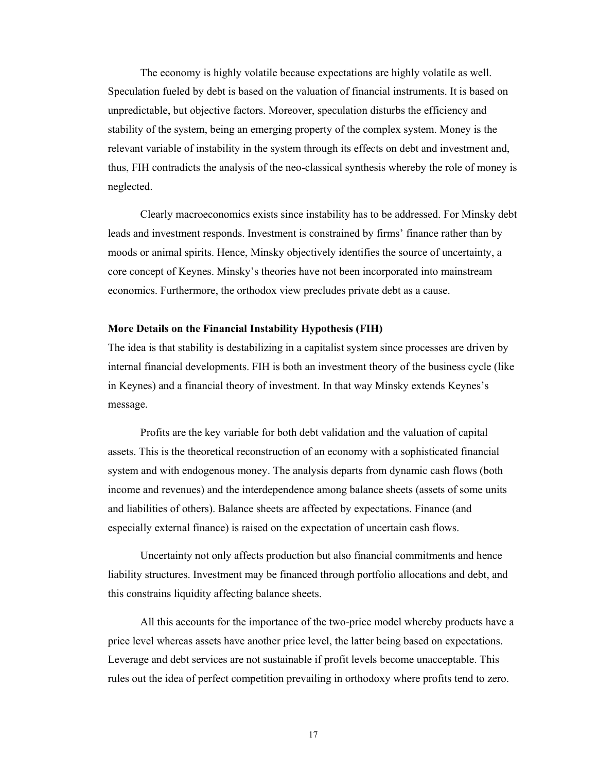The economy is highly volatile because expectations are highly volatile as well. Speculation fueled by debt is based on the valuation of financial instruments. It is based on unpredictable, but objective factors. Moreover, speculation disturbs the efficiency and stability of the system, being an emerging property of the complex system. Money is the relevant variable of instability in the system through its effects on debt and investment and, thus, FIH contradicts the analysis of the neo-classical synthesis whereby the role of money is neglected.

Clearly macroeconomics exists since instability has to be addressed. For Minsky debt leads and investment responds. Investment is constrained by firms' finance rather than by moods or animal spirits. Hence, Minsky objectively identifies the source of uncertainty, a core concept of Keynes. Minsky's theories have not been incorporated into mainstream economics. Furthermore, the orthodox view precludes private debt as a cause.

#### **More Details on the Financial Instability Hypothesis (FIH)**

The idea is that stability is destabilizing in a capitalist system since processes are driven by internal financial developments. FIH is both an investment theory of the business cycle (like in Keynes) and a financial theory of investment. In that way Minsky extends Keynes's message.

Profits are the key variable for both debt validation and the valuation of capital assets. This is the theoretical reconstruction of an economy with a sophisticated financial system and with endogenous money. The analysis departs from dynamic cash flows (both income and revenues) and the interdependence among balance sheets (assets of some units and liabilities of others). Balance sheets are affected by expectations. Finance (and especially external finance) is raised on the expectation of uncertain cash flows.

Uncertainty not only affects production but also financial commitments and hence liability structures. Investment may be financed through portfolio allocations and debt, and this constrains liquidity affecting balance sheets.

All this accounts for the importance of the two-price model whereby products have a price level whereas assets have another price level, the latter being based on expectations. Leverage and debt services are not sustainable if profit levels become unacceptable. This rules out the idea of perfect competition prevailing in orthodoxy where profits tend to zero.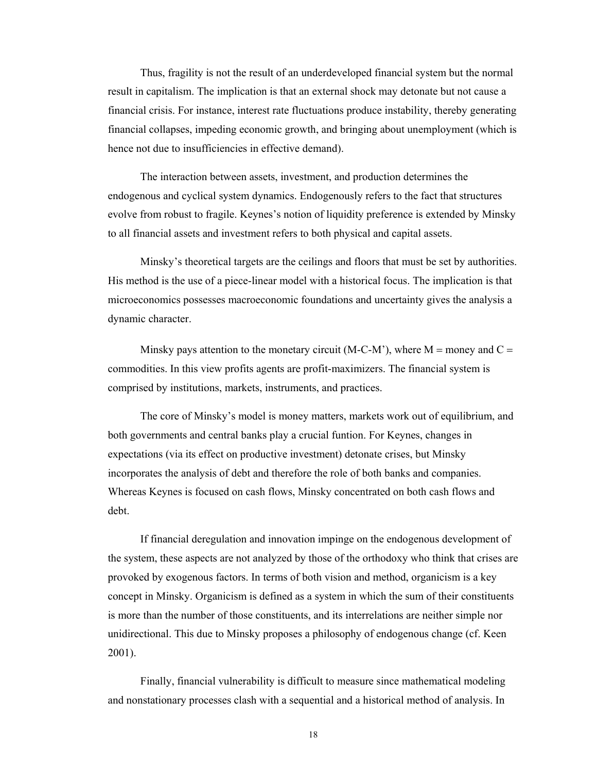Thus, fragility is not the result of an underdeveloped financial system but the normal result in capitalism. The implication is that an external shock may detonate but not cause a financial crisis. For instance, interest rate fluctuations produce instability, thereby generating financial collapses, impeding economic growth, and bringing about unemployment (which is hence not due to insufficiencies in effective demand).

The interaction between assets, investment, and production determines the endogenous and cyclical system dynamics. Endogenously refers to the fact that structures evolve from robust to fragile. Keynes's notion of liquidity preference is extended by Minsky to all financial assets and investment refers to both physical and capital assets.

Minsky's theoretical targets are the ceilings and floors that must be set by authorities. His method is the use of a piece-linear model with a historical focus. The implication is that microeconomics possesses macroeconomic foundations and uncertainty gives the analysis a dynamic character.

Minsky pays attention to the monetary circuit  $(M-C-M^2)$ , where  $M =$  money and  $C =$ commodities. In this view profits agents are profit-maximizers. The financial system is comprised by institutions, markets, instruments, and practices.

The core of Minsky's model is money matters, markets work out of equilibrium, and both governments and central banks play a crucial funtion. For Keynes, changes in expectations (via its effect on productive investment) detonate crises, but Minsky incorporates the analysis of debt and therefore the role of both banks and companies. Whereas Keynes is focused on cash flows, Minsky concentrated on both cash flows and debt.

If financial deregulation and innovation impinge on the endogenous development of the system, these aspects are not analyzed by those of the orthodoxy who think that crises are provoked by exogenous factors. In terms of both vision and method, organicism is a key concept in Minsky. Organicism is defined as a system in which the sum of their constituents is more than the number of those constituents, and its interrelations are neither simple nor unidirectional. This due to Minsky proposes a philosophy of endogenous change (cf. Keen 2001).

Finally, financial vulnerability is difficult to measure since mathematical modeling and nonstationary processes clash with a sequential and a historical method of analysis. In

18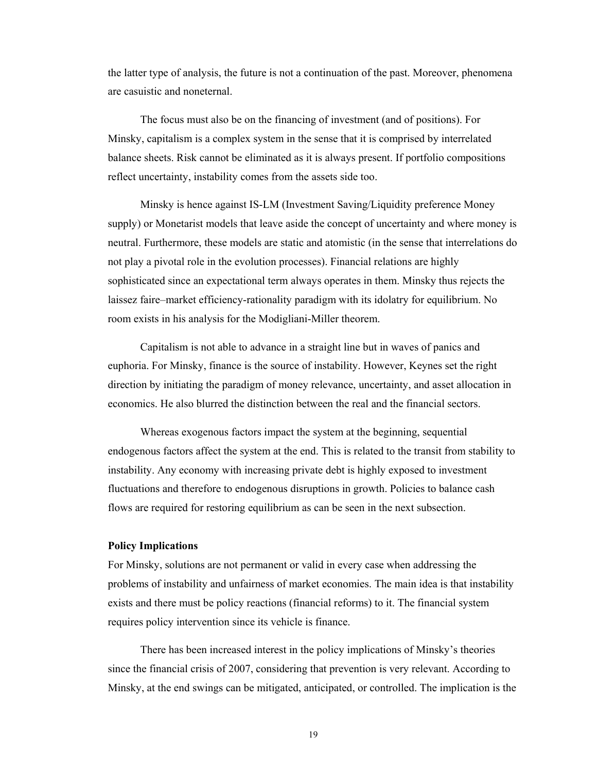the latter type of analysis, the future is not a continuation of the past. Moreover, phenomena are casuistic and noneternal.

The focus must also be on the financing of investment (and of positions). For Minsky, capitalism is a complex system in the sense that it is comprised by interrelated balance sheets. Risk cannot be eliminated as it is always present. If portfolio compositions reflect uncertainty, instability comes from the assets side too.

Minsky is hence against IS-LM (Investment Saving/Liquidity preference Money supply) or Monetarist models that leave aside the concept of uncertainty and where money is neutral. Furthermore, these models are static and atomistic (in the sense that interrelations do not play a pivotal role in the evolution processes). Financial relations are highly sophisticated since an expectational term always operates in them. Minsky thus rejects the laissez faire–market efficiency-rationality paradigm with its idolatry for equilibrium. No room exists in his analysis for the Modigliani-Miller theorem.

Capitalism is not able to advance in a straight line but in waves of panics and euphoria. For Minsky, finance is the source of instability. However, Keynes set the right direction by initiating the paradigm of money relevance, uncertainty, and asset allocation in economics. He also blurred the distinction between the real and the financial sectors.

Whereas exogenous factors impact the system at the beginning, sequential endogenous factors affect the system at the end. This is related to the transit from stability to instability. Any economy with increasing private debt is highly exposed to investment fluctuations and therefore to endogenous disruptions in growth. Policies to balance cash flows are required for restoring equilibrium as can be seen in the next subsection.

## **Policy Implications**

For Minsky, solutions are not permanent or valid in every case when addressing the problems of instability and unfairness of market economies. The main idea is that instability exists and there must be policy reactions (financial reforms) to it. The financial system requires policy intervention since its vehicle is finance.

There has been increased interest in the policy implications of Minsky's theories since the financial crisis of 2007, considering that prevention is very relevant. According to Minsky, at the end swings can be mitigated, anticipated, or controlled. The implication is the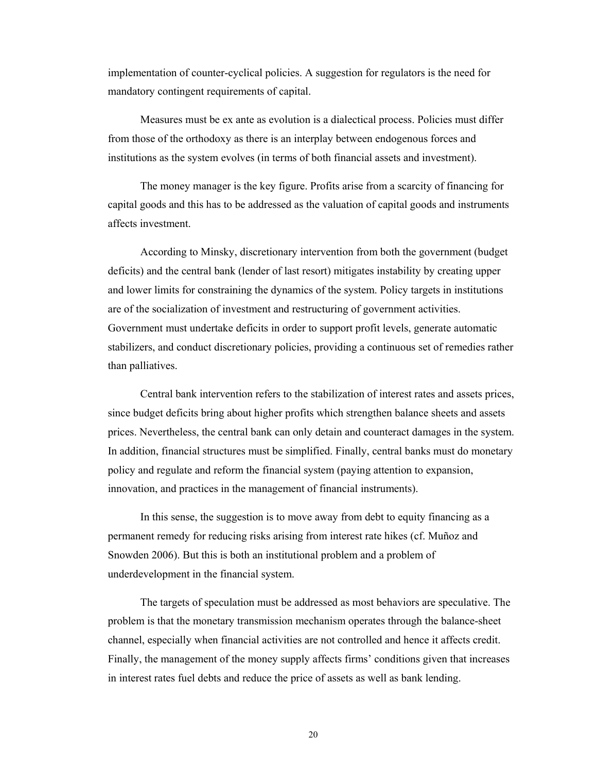implementation of counter-cyclical policies. A suggestion for regulators is the need for mandatory contingent requirements of capital.

Measures must be ex ante as evolution is a dialectical process. Policies must differ from those of the orthodoxy as there is an interplay between endogenous forces and institutions as the system evolves (in terms of both financial assets and investment).

The money manager is the key figure. Profits arise from a scarcity of financing for capital goods and this has to be addressed as the valuation of capital goods and instruments affects investment.

According to Minsky, discretionary intervention from both the government (budget deficits) and the central bank (lender of last resort) mitigates instability by creating upper and lower limits for constraining the dynamics of the system. Policy targets in institutions are of the socialization of investment and restructuring of government activities. Government must undertake deficits in order to support profit levels, generate automatic stabilizers, and conduct discretionary policies, providing a continuous set of remedies rather than palliatives.

Central bank intervention refers to the stabilization of interest rates and assets prices, since budget deficits bring about higher profits which strengthen balance sheets and assets prices. Nevertheless, the central bank can only detain and counteract damages in the system. In addition, financial structures must be simplified. Finally, central banks must do monetary policy and regulate and reform the financial system (paying attention to expansion, innovation, and practices in the management of financial instruments).

In this sense, the suggestion is to move away from debt to equity financing as a permanent remedy for reducing risks arising from interest rate hikes (cf. Muñoz and Snowden 2006). But this is both an institutional problem and a problem of underdevelopment in the financial system.

The targets of speculation must be addressed as most behaviors are speculative. The problem is that the monetary transmission mechanism operates through the balance-sheet channel, especially when financial activities are not controlled and hence it affects credit. Finally, the management of the money supply affects firms' conditions given that increases in interest rates fuel debts and reduce the price of assets as well as bank lending.

20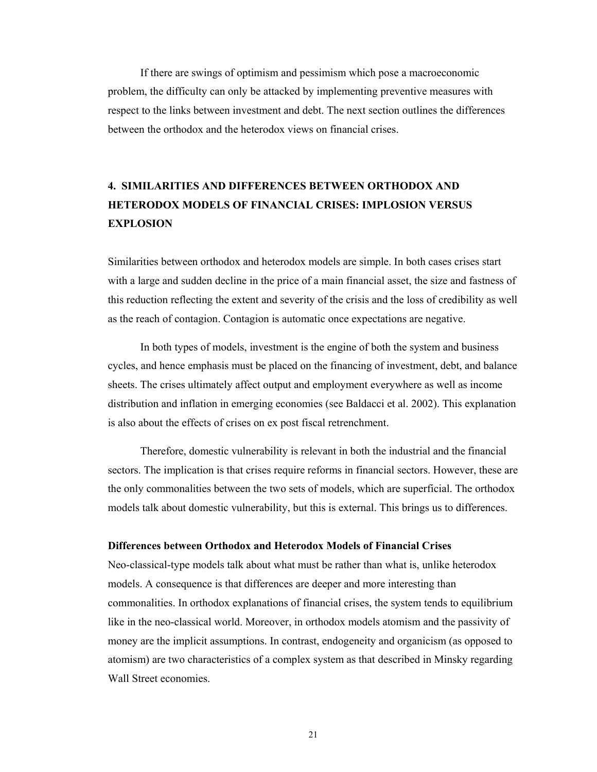If there are swings of optimism and pessimism which pose a macroeconomic problem, the difficulty can only be attacked by implementing preventive measures with respect to the links between investment and debt. The next section outlines the differences between the orthodox and the heterodox views on financial crises.

# **4. SIMILARITIES AND DIFFERENCES BETWEEN ORTHODOX AND HETERODOX MODELS OF FINANCIAL CRISES: IMPLOSION VERSUS EXPLOSION**

Similarities between orthodox and heterodox models are simple. In both cases crises start with a large and sudden decline in the price of a main financial asset, the size and fastness of this reduction reflecting the extent and severity of the crisis and the loss of credibility as well as the reach of contagion. Contagion is automatic once expectations are negative.

In both types of models, investment is the engine of both the system and business cycles, and hence emphasis must be placed on the financing of investment, debt, and balance sheets. The crises ultimately affect output and employment everywhere as well as income distribution and inflation in emerging economies (see Baldacci et al. 2002). This explanation is also about the effects of crises on ex post fiscal retrenchment.

Therefore, domestic vulnerability is relevant in both the industrial and the financial sectors. The implication is that crises require reforms in financial sectors. However, these are the only commonalities between the two sets of models, which are superficial. The orthodox models talk about domestic vulnerability, but this is external. This brings us to differences.

## **Differences between Orthodox and Heterodox Models of Financial Crises**

Neo-classical-type models talk about what must be rather than what is, unlike heterodox models. A consequence is that differences are deeper and more interesting than commonalities. In orthodox explanations of financial crises, the system tends to equilibrium like in the neo-classical world. Moreover, in orthodox models atomism and the passivity of money are the implicit assumptions. In contrast, endogeneity and organicism (as opposed to atomism) are two characteristics of a complex system as that described in Minsky regarding Wall Street economies.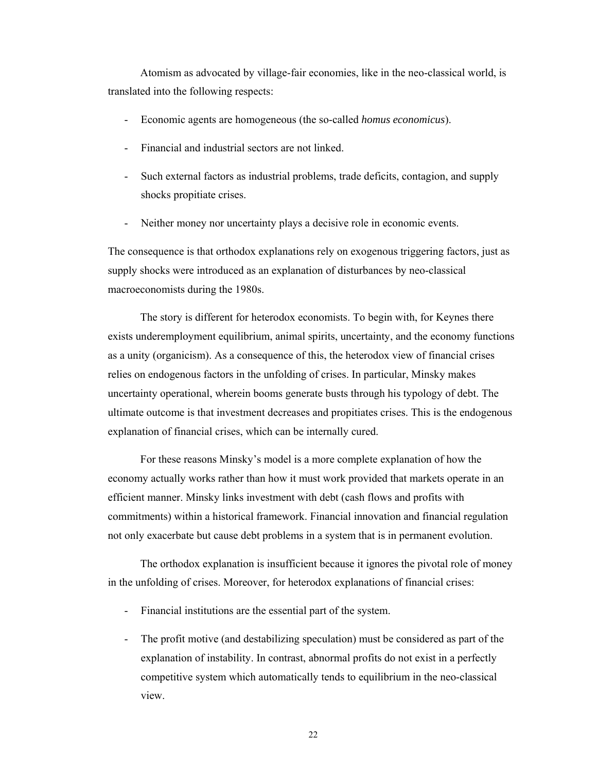Atomism as advocated by village-fair economies, like in the neo-classical world, is translated into the following respects:

- Economic agents are homogeneous (the so-called *homus economicus*).
- Financial and industrial sectors are not linked.
- Such external factors as industrial problems, trade deficits, contagion, and supply shocks propitiate crises.
- Neither money nor uncertainty plays a decisive role in economic events.

The consequence is that orthodox explanations rely on exogenous triggering factors, just as supply shocks were introduced as an explanation of disturbances by neo-classical macroeconomists during the 1980s.

The story is different for heterodox economists. To begin with, for Keynes there exists underemployment equilibrium, animal spirits, uncertainty, and the economy functions as a unity (organicism). As a consequence of this, the heterodox view of financial crises relies on endogenous factors in the unfolding of crises. In particular, Minsky makes uncertainty operational, wherein booms generate busts through his typology of debt. The ultimate outcome is that investment decreases and propitiates crises. This is the endogenous explanation of financial crises, which can be internally cured.

For these reasons Minsky's model is a more complete explanation of how the economy actually works rather than how it must work provided that markets operate in an efficient manner. Minsky links investment with debt (cash flows and profits with commitments) within a historical framework. Financial innovation and financial regulation not only exacerbate but cause debt problems in a system that is in permanent evolution.

The orthodox explanation is insufficient because it ignores the pivotal role of money in the unfolding of crises. Moreover, for heterodox explanations of financial crises:

- Financial institutions are the essential part of the system.
- The profit motive (and destabilizing speculation) must be considered as part of the explanation of instability. In contrast, abnormal profits do not exist in a perfectly competitive system which automatically tends to equilibrium in the neo-classical view.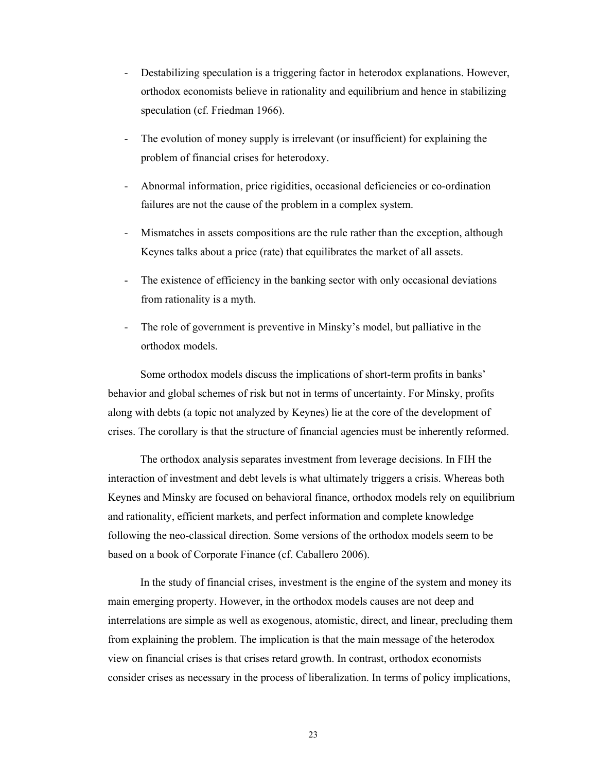- Destabilizing speculation is a triggering factor in heterodox explanations. However, orthodox economists believe in rationality and equilibrium and hence in stabilizing speculation (cf. Friedman 1966).
- The evolution of money supply is irrelevant (or insufficient) for explaining the problem of financial crises for heterodoxy.
- Abnormal information, price rigidities, occasional deficiencies or co-ordination failures are not the cause of the problem in a complex system.
- Mismatches in assets compositions are the rule rather than the exception, although Keynes talks about a price (rate) that equilibrates the market of all assets.
- The existence of efficiency in the banking sector with only occasional deviations from rationality is a myth.
- The role of government is preventive in Minsky's model, but palliative in the orthodox models.

Some orthodox models discuss the implications of short-term profits in banks' behavior and global schemes of risk but not in terms of uncertainty. For Minsky, profits along with debts (a topic not analyzed by Keynes) lie at the core of the development of crises. The corollary is that the structure of financial agencies must be inherently reformed.

The orthodox analysis separates investment from leverage decisions. In FIH the interaction of investment and debt levels is what ultimately triggers a crisis. Whereas both Keynes and Minsky are focused on behavioral finance, orthodox models rely on equilibrium and rationality, efficient markets, and perfect information and complete knowledge following the neo-classical direction. Some versions of the orthodox models seem to be based on a book of Corporate Finance (cf. Caballero 2006).

In the study of financial crises, investment is the engine of the system and money its main emerging property. However, in the orthodox models causes are not deep and interrelations are simple as well as exogenous, atomistic, direct, and linear, precluding them from explaining the problem. The implication is that the main message of the heterodox view on financial crises is that crises retard growth. In contrast, orthodox economists consider crises as necessary in the process of liberalization. In terms of policy implications,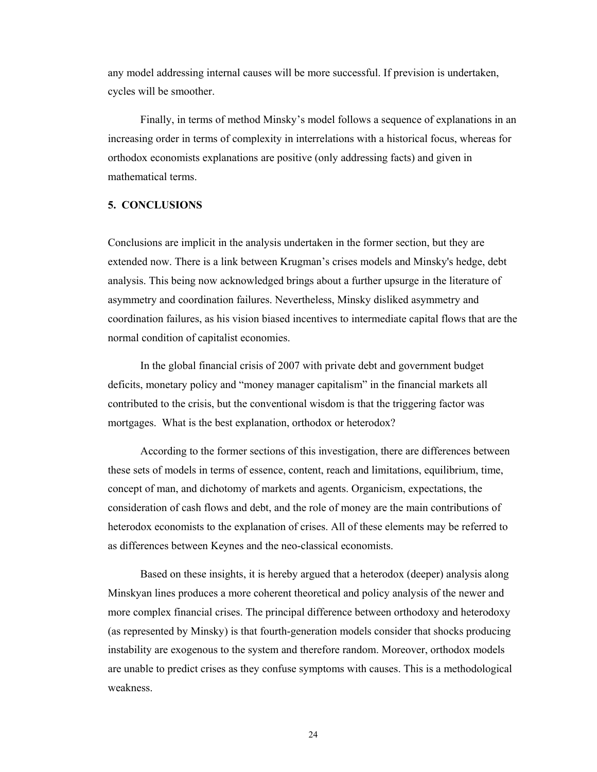any model addressing internal causes will be more successful. If prevision is undertaken, cycles will be smoother.

Finally, in terms of method Minsky's model follows a sequence of explanations in an increasing order in terms of complexity in interrelations with a historical focus, whereas for orthodox economists explanations are positive (only addressing facts) and given in mathematical terms.

## **5. CONCLUSIONS**

Conclusions are implicit in the analysis undertaken in the former section, but they are extended now. There is a link between Krugman's crises models and Minsky's hedge, debt analysis. This being now acknowledged brings about a further upsurge in the literature of asymmetry and coordination failures. Nevertheless, Minsky disliked asymmetry and coordination failures, as his vision biased incentives to intermediate capital flows that are the normal condition of capitalist economies.

In the global financial crisis of 2007 with private debt and government budget deficits, monetary policy and "money manager capitalism" in the financial markets all contributed to the crisis, but the conventional wisdom is that the triggering factor was mortgages. What is the best explanation, orthodox or heterodox?

According to the former sections of this investigation, there are differences between these sets of models in terms of essence, content, reach and limitations, equilibrium, time, concept of man, and dichotomy of markets and agents. Organicism, expectations, the consideration of cash flows and debt, and the role of money are the main contributions of heterodox economists to the explanation of crises. All of these elements may be referred to as differences between Keynes and the neo-classical economists.

Based on these insights, it is hereby argued that a heterodox (deeper) analysis along Minskyan lines produces a more coherent theoretical and policy analysis of the newer and more complex financial crises. The principal difference between orthodoxy and heterodoxy (as represented by Minsky) is that fourth-generation models consider that shocks producing instability are exogenous to the system and therefore random. Moreover, orthodox models are unable to predict crises as they confuse symptoms with causes. This is a methodological weakness.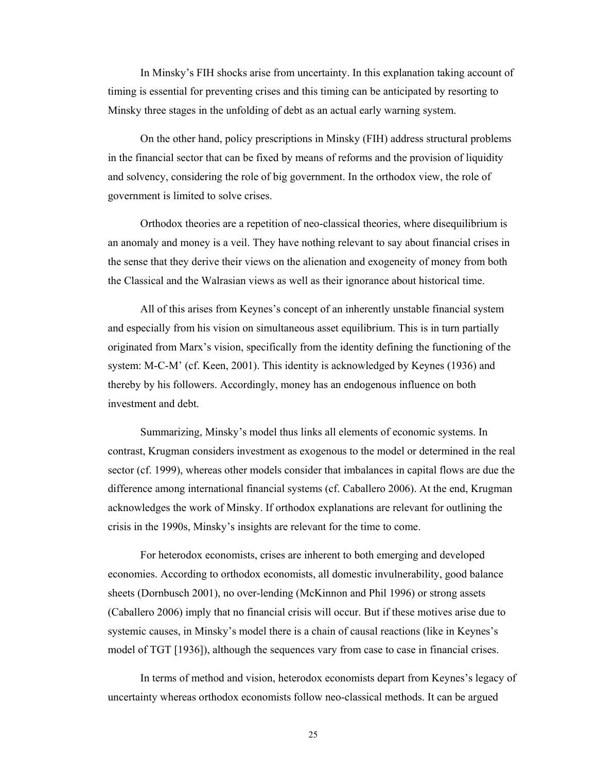In Minsky's FIH shocks arise from uncertainty. In this explanation taking account of timing is essential for preventing crises and this timing can be anticipated by resorting to Minsky three stages in the unfolding of debt as an actual early warning system.

On the other hand, policy prescriptions in Minsky (FIH) address structural problems in the financial sector that can be fixed by means of reforms and the provision of liquidity and solvency, considering the role of big government. In the orthodox view, the role of government is limited to solve crises.

Orthodox theories are a repetition of neo-classical theories, where disequilibrium is an anomaly and money is a veil. They have nothing relevant to say about financial crises in the sense that they derive their views on the alienation and exogeneity of money from both the Classical and the Walrasian views as well as their ignorance about historical time.

All of this arises from Keynes's concept of an inherently unstable financial system and especially from his vision on simultaneous asset equilibrium. This is in turn partially originated from Marx's vision, specifically from the identity defining the functioning of the system: M-C-M' (cf. Keen, 2001). This identity is acknowledged by Keynes (1936) and thereby by his followers. Accordingly, money has an endogenous influence on both investment and debt.

Summarizing, Minsky's model thus links all elements of economic systems. In contrast, Krugman considers investment as exogenous to the model or determined in the real sector (cf. 1999), whereas other models consider that imbalances in capital flows are due the difference among international financial systems (cf. Caballero 2006). At the end, Krugman acknowledges the work of Minsky. If orthodox explanations are relevant for outlining the crisis in the 1990s, Minsky's insights are relevant for the time to come.

For heterodox economists, crises are inherent to both emerging and developed economies. According to orthodox economists, all domestic invulnerability, good balance sheets (Dornbusch 2001), no over-lending (McKinnon and Phil 1996) or strong assets (Caballero 2006) imply that no financial crisis will occur. But if these motives arise due to systemic causes, in Minsky's model there is a chain of causal reactions (like in Keynes's model of TGT [1936]), although the sequences vary from case to case in financial crises.

In terms of method and vision, heterodox economists depart from Keynes's legacy of uncertainty whereas orthodox economists follow neo-classical methods. It can be argued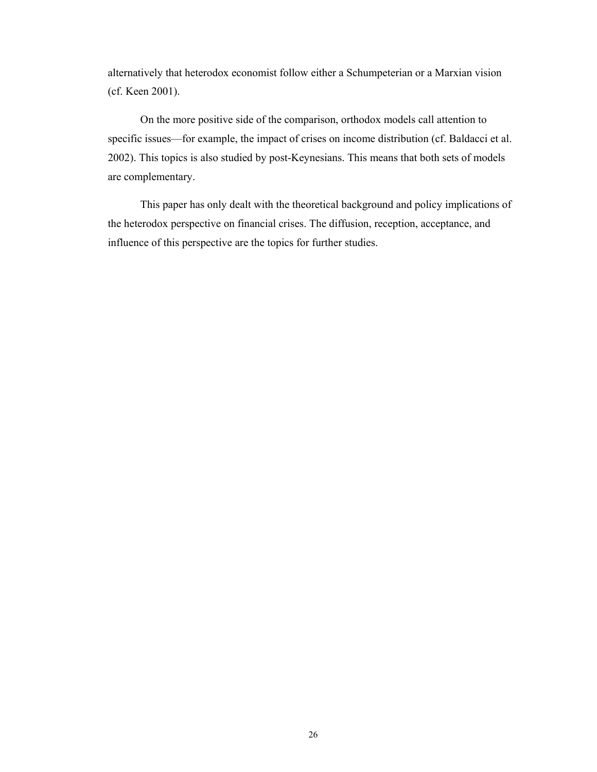alternatively that heterodox economist follow either a Schumpeterian or a Marxian vision (cf. Keen 2001).

On the more positive side of the comparison, orthodox models call attention to specific issues—for example, the impact of crises on income distribution (cf. Baldacci et al. 2002). This topics is also studied by post-Keynesians. This means that both sets of models are complementary.

This paper has only dealt with the theoretical background and policy implications of the heterodox perspective on financial crises. The diffusion, reception, acceptance, and influence of this perspective are the topics for further studies.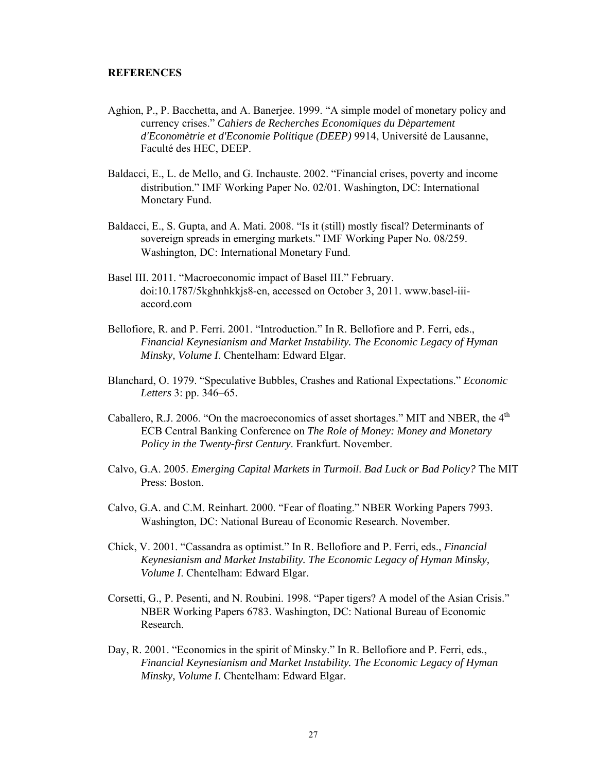## **REFERENCES**

- Aghion, P., P. Bacchetta, and A. Banerjee. 1999. "A simple model of monetary policy and currency crises." *Cahiers de Recherches Economiques du Dèpartement d'Economètrie et d'Economie Politique (DEEP)* 9914, Université de Lausanne, Faculté des HEC, DEEP.
- Baldacci, E., L. de Mello, and G. Inchauste. 2002. "Financial crises, poverty and income distribution." IMF Working Paper No. 02/01. Washington, DC: International Monetary Fund.
- Baldacci, E., S. Gupta, and A. Mati. 2008. "Is it (still) mostly fiscal? Determinants of sovereign spreads in emerging markets." IMF Working Paper No. 08/259. Washington, DC: International Monetary Fund.
- Basel III. 2011. "Macroeconomic impact of Basel III." February. doi:10.1787/5kghnhkkjs8-en, accessed on October 3, 2011. www.basel-iiiaccord.com
- Bellofiore, R. and P. Ferri. 2001. "Introduction." In R. Bellofiore and P. Ferri, eds., *Financial Keynesianism and Market Instability. The Economic Legacy of Hyman Minsky, Volume I*. Chentelham: Edward Elgar.
- Blanchard, O. 1979. "Speculative Bubbles, Crashes and Rational Expectations." *Economic Letters* 3: pp. 346–65.
- Caballero, R.J. 2006. "On the macroeconomics of asset shortages." MIT and NBER, the  $4<sup>th</sup>$ ECB Central Banking Conference on *The Role of Money: Money and Monetary Policy in the Twenty-first Century*. Frankfurt. November.
- Calvo, G.A. 2005. *Emerging Capital Markets in Turmoil*. *Bad Luck or Bad Policy?* The MIT Press: Boston.
- Calvo, G.A. and C.M. Reinhart. 2000. "Fear of floating." NBER Working Papers 7993. Washington, DC: National Bureau of Economic Research. November.
- Chick, V. 2001. "Cassandra as optimist." In R. Bellofiore and P. Ferri, eds., *Financial Keynesianism and Market Instability. The Economic Legacy of Hyman Minsky, Volume I*. Chentelham: Edward Elgar.
- Corsetti, G., P. Pesenti, and N. Roubini. 1998. "Paper tigers? A model of the Asian Crisis." NBER Working Papers 6783. Washington, DC: National Bureau of Economic Research.
- Day, R. 2001. "Economics in the spirit of Minsky." In R. Bellofiore and P. Ferri, eds., *Financial Keynesianism and Market Instability. The Economic Legacy of Hyman Minsky, Volume I*. Chentelham: Edward Elgar.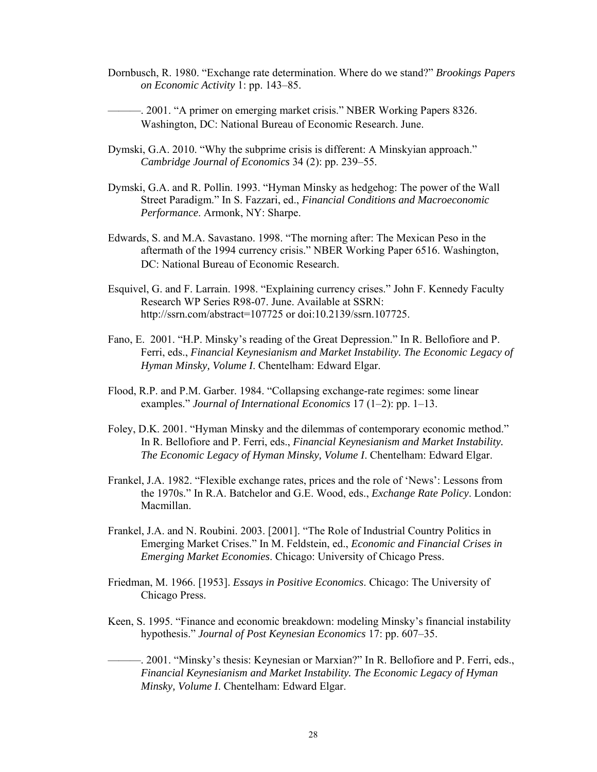Dornbusch, R. 1980. "Exchange rate determination. Where do we stand?" *Brookings Papers on Economic Activity* 1: pp. 143–85.

———. 2001. "A primer on emerging market crisis." NBER Working Papers 8326. Washington, DC: National Bureau of Economic Research. June.

- Dymski, G.A. 2010. "Why the subprime crisis is different: A Minskyian approach." *Cambridge Journal of Economics* 34 (2): pp. 239–55.
- Dymski, G.A. and R. Pollin. 1993. "Hyman Minsky as hedgehog: The power of the Wall Street Paradigm." In S. Fazzari, ed., *Financial Conditions and Macroeconomic Performance*. Armonk, NY: Sharpe.
- Edwards, S. and M.A. Savastano. 1998. "The morning after: The Mexican Peso in the aftermath of the 1994 currency crisis." NBER Working Paper 6516. Washington, DC: National Bureau of Economic Research.
- Esquivel, G. and F. Larrain. 1998. "Explaining currency crises." John F. Kennedy Faculty Research WP Series R98-07. June. Available at SSRN: http://ssrn.com/abstract=107725 or doi:10.2139/ssrn.107725.
- Fano, E. 2001. "H.P. Minsky's reading of the Great Depression." In R. Bellofiore and P. Ferri, eds., *Financial Keynesianism and Market Instability. The Economic Legacy of Hyman Minsky, Volume I*. Chentelham: Edward Elgar.
- Flood, R.P. and P.M. Garber. 1984. "Collapsing exchange-rate regimes: some linear examples." *Journal of International Economics* 17 (1–2): pp. 1–13.
- Foley, D.K. 2001. "Hyman Minsky and the dilemmas of contemporary economic method." In R. Bellofiore and P. Ferri, eds., *Financial Keynesianism and Market Instability. The Economic Legacy of Hyman Minsky, Volume I*. Chentelham: Edward Elgar.
- Frankel, J.A. 1982. "Flexible exchange rates, prices and the role of 'News': Lessons from the 1970s." In R.A. Batchelor and G.E. Wood, eds., *Exchange Rate Policy*. London: Macmillan.
- Frankel, J.A. and N. Roubini. 2003. [2001]. "The Role of Industrial Country Politics in Emerging Market Crises." In M. Feldstein, ed., *Economic and Financial Crises in Emerging Market Economies*. Chicago: University of Chicago Press.
- Friedman, M. 1966. [1953]. *Essays in Positive Economics*. Chicago: The University of Chicago Press.
- Keen, S. 1995. "Finance and economic breakdown: modeling Minsky's financial instability hypothesis." *Journal of Post Keynesian Economics* 17: pp. 607–35.
- ———. 2001. "Minsky's thesis: Keynesian or Marxian?" In R. Bellofiore and P. Ferri, eds., *Financial Keynesianism and Market Instability. The Economic Legacy of Hyman Minsky, Volume I*. Chentelham: Edward Elgar.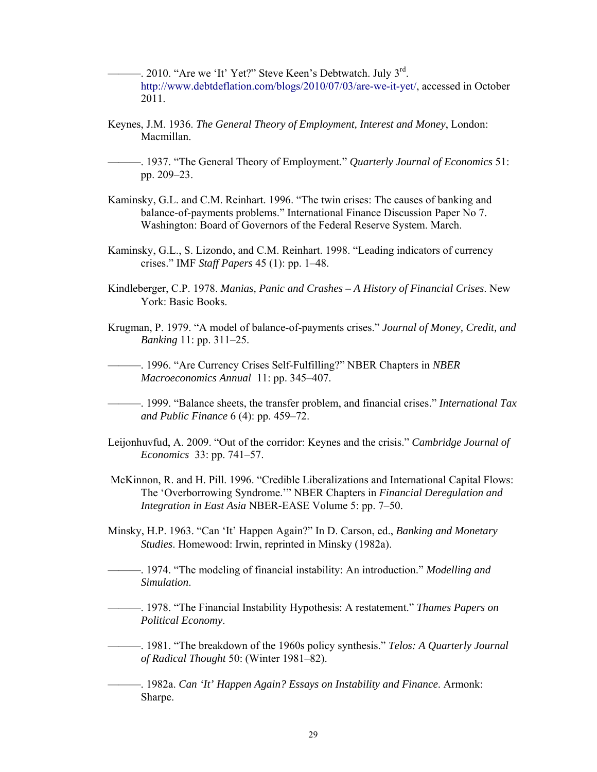$-$ . 2010. "Are we 'It' Yet?" Steve Keen's Debtwatch. July  $3^{rd}$ . http://www.debtdeflation.com/blogs/2010/07/03/are-we-it-yet/, accessed in October 2011.

- Keynes, J.M. 1936. *The General Theory of Employment, Interest and Money*, London: Macmillan.
- ———. 1937. "The General Theory of Employment." *Quarterly Journal of Economics* 51: pp. 209–23.
- Kaminsky, G.L. and C.M. Reinhart. 1996. "The twin crises: The causes of banking and balance-of-payments problems." International Finance Discussion Paper No 7. Washington: Board of Governors of the Federal Reserve System. March.
- Kaminsky, G.L., S. Lizondo, and C.M. Reinhart. 1998. "Leading indicators of currency crises." IMF *Staff Papers* 45 (1): pp. 1–48.
- Kindleberger, C.P. 1978. *Manias, Panic and Crashes A History of Financial Crises*. New York: Basic Books.
- Krugman, P. 1979. "A model of balance-of-payments crises." *Journal of Money, Credit, and Banking* 11: pp. 311–25.

———. 1996. "Are Currency Crises Self-Fulfilling?" NBER Chapters in *NBER Macroeconomics Annual* 11: pp. 345–407.

- ———. 1999. "Balance sheets, the transfer problem, and financial crises." *International Tax and Public Finance* 6 (4): pp. 459–72.
- Leijonhuvfud, A. 2009. "Out of the corridor: Keynes and the crisis." *Cambridge Journal of Economics* 33: pp. 741–57.
- McKinnon, R. and H. Pill. 1996. "Credible Liberalizations and International Capital Flows: The 'Overborrowing Syndrome.'" NBER Chapters in *Financial Deregulation and Integration in East Asia* NBER-EASE Volume 5: pp. 7–50.
- Minsky, H.P. 1963. "Can 'It' Happen Again?" In D. Carson, ed., *Banking and Monetary Studies*. Homewood: Irwin, reprinted in Minsky (1982a).
- ———. 1974. "The modeling of financial instability: An introduction." *Modelling and Simulation*.
- ———. 1978. "The Financial Instability Hypothesis: A restatement." *Thames Papers on Political Economy*.
- ———. 1981. "The breakdown of the 1960s policy synthesis." *Telos: A Quarterly Journal of Radical Thought* 50: (Winter 1981–82).

———. 1982a. *Can 'It' Happen Again? Essays on Instability and Finance*. Armonk: Sharpe.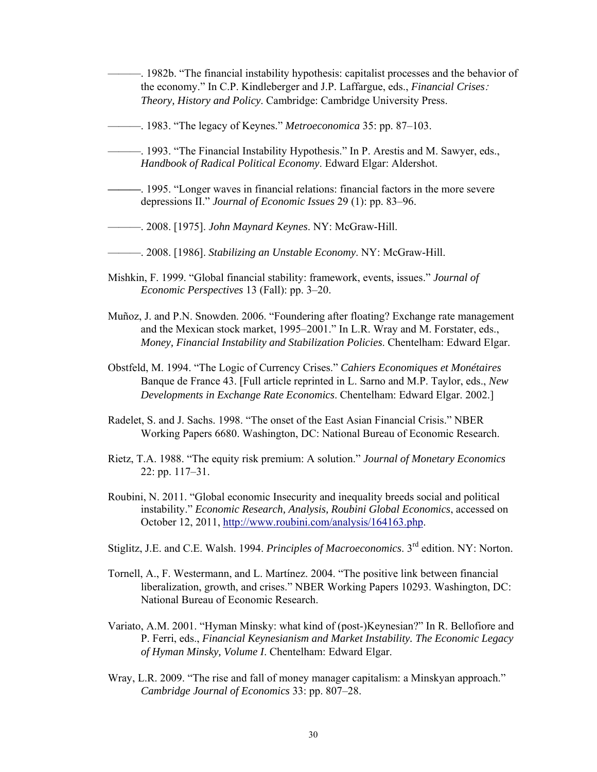- ———. 1982b. "The financial instability hypothesis: capitalist processes and the behavior of the economy." In C.P. Kindleberger and J.P. Laffargue, eds., *Financial Crises*: *Theory, History and Policy*. Cambridge: Cambridge University Press.
- ———. 1983. "The legacy of Keynes." *Metroeconomica* 35: pp. 87–103.
- ———. 1993. "The Financial Instability Hypothesis." In P. Arestis and M. Sawyer, eds., *Handbook of Radical Political Economy*. Edward Elgar: Aldershot.
- **———**. 1995. "Longer waves in financial relations: financial factors in the more severe depressions II." *Journal of Economic Issues* 29 (1): pp. 83–96.
- ———. 2008. [1975]. *John Maynard Keynes*. NY: McGraw-Hill.
- ———. 2008. [1986]. *Stabilizing an Unstable Economy*. NY: McGraw-Hill.
- Mishkin, F. 1999. "Global financial stability: framework, events, issues." *Journal of Economic Perspectives* 13 (Fall): pp. 3–20.
- Muñoz, J. and P.N. Snowden. 2006. "Foundering after floating? Exchange rate management and the Mexican stock market, 1995–2001." In L.R. Wray and M. Forstater, eds., *Money, Financial Instability and Stabilization Policies*. Chentelham: Edward Elgar.
- Obstfeld, M. 1994. "The Logic of Currency Crises." *Cahiers Economiques et Monétaires* Banque de France 43. [Full article reprinted in L. Sarno and M.P. Taylor, eds., *New Developments in Exchange Rate Economics*. Chentelham: Edward Elgar. 2002.]
- Radelet, S. and J. Sachs. 1998. "The onset of the East Asian Financial Crisis." NBER Working Papers 6680. Washington, DC: National Bureau of Economic Research.
- Rietz, T.A. 1988. "The equity risk premium: A solution." *Journal of Monetary Economics* 22: pp. 117–31.
- Roubini, N. 2011. "Global economic Insecurity and inequality breeds social and political instability." *Economic Research, Analysis, Roubini Global Economics*, accessed on October 12, 2011, http://www.roubini.com/analysis/164163.php.
- Stiglitz, J.E. and C.E. Walsh. 1994. *Principles of Macroeconomics*. 3rd edition. NY: Norton.
- Tornell, A., F. Westermann, and L. Martínez. 2004. "The positive link between financial liberalization, growth, and crises." NBER Working Papers 10293. Washington, DC: National Bureau of Economic Research.
- Variato, A.M. 2001. "Hyman Minsky: what kind of (post-)Keynesian?" In R. Bellofiore and P. Ferri, eds., *Financial Keynesianism and Market Instability. The Economic Legacy of Hyman Minsky, Volume I*. Chentelham: Edward Elgar.
- Wray, L.R. 2009. "The rise and fall of money manager capitalism: a Minskyan approach." *Cambridge Journal of Economics* 33: pp. 807–28.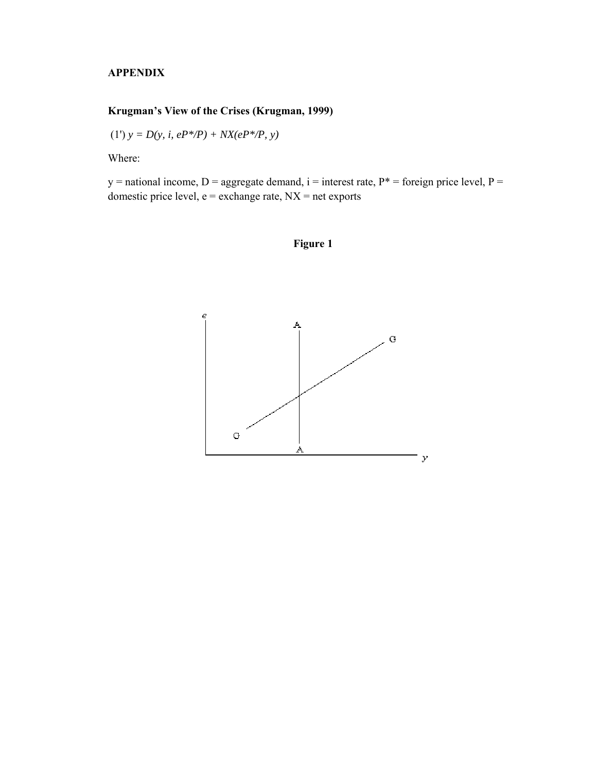## **APPENDIX**

# **Krugman's View of the Crises (Krugman, 1999)**

(1') 
$$
y = D(y, i, eP^*/P) + NX(eP^*/P, y)
$$

Where:

 $y =$  national income, D = aggregate demand, i = interest rate, P\* = foreign price level, P = domestic price level,  $e =$  exchange rate,  $NX =$  net exports